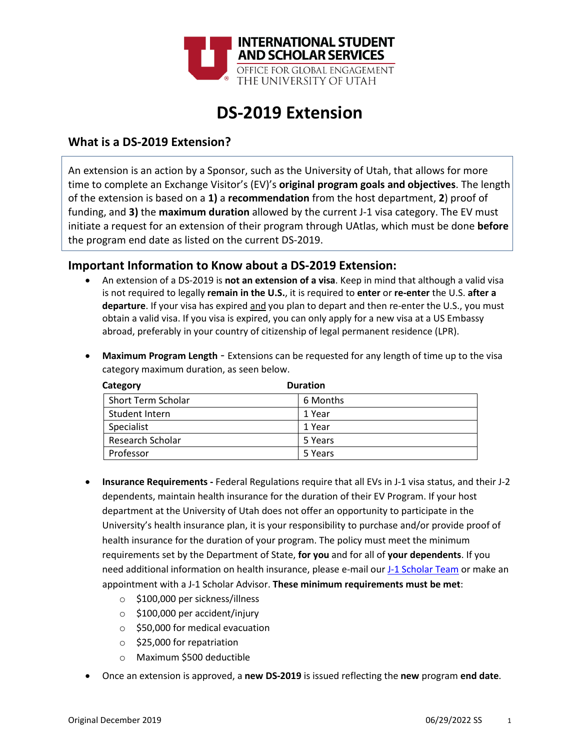

## **DS-2019 Extension**

## **What is a DS-2019 Extension?**

An extension is an action by a Sponsor, such as the University of Utah, that allows for more time to complete an Exchange Visitor's (EV)'s **original program goals and objectives**. The length of the extension is based on a **1)** a **recommendation** from the host department, **2**) proof of funding, and **3)** the **maximum duration** allowed by the current J-1 visa category. The EV must initiate a request for an extension of their program through UAtlas, which must be done **before** the program end date as listed on the current DS-2019.

## **Important Information to Know about a DS-2019 Extension:**

• An extension of a DS-2019 is **not an extension of a visa**. Keep in mind that although a valid visa is not required to legally **remain in the U.S.**, it is required to **enter** or **re-enter** the U.S. **after a departure**. If your visa has expired and you plan to depart and then re-enter the U.S., you must obtain a valid visa. If you visa is expired, you can only apply for a new visa at a US Embassy abroad, preferably in your country of citizenship of legal permanent residence (LPR).

| Category                | <b>Duration</b> |
|-------------------------|-----------------|
| Short Term Scholar      | 6 Months        |
| Student Intern          | 1 Year          |
| Specialist              | 1 Year          |
| <b>Research Scholar</b> | 5 Years         |
| Professor               | 5 Years         |

• **Maximum Program Length** - Extensions can be requested for any length of time up to the visa category maximum duration, as seen below.

- **Insurance Requirements -** Federal Regulations require that all EVs in J-1 visa status, and their J-2 dependents, maintain health insurance for the duration of their EV Program. If your host department at the University of Utah does not offer an opportunity to participate in the University's health insurance plan, it is your responsibility to purchase and/or provide proof of health insurance for the duration of your program. The policy must meet the minimum requirements set by the Department of State, **for you** and for all of **your dependents**. If you need additional information on health insurance, please e-mail our [J-1 Scholar Team](mailto:internationalscholars@utah.edu) or make an appointment with a J-1 Scholar Advisor. **These minimum requirements must be met**:
	- o \$100,000 per sickness/illness
	- o \$100,000 per accident/injury
	- o \$50,000 for medical evacuation
	- o \$25,000 for repatriation
	- o Maximum \$500 deductible
- Once an extension is approved, a **new DS-2019** is issued reflecting the **new** program **end date**.